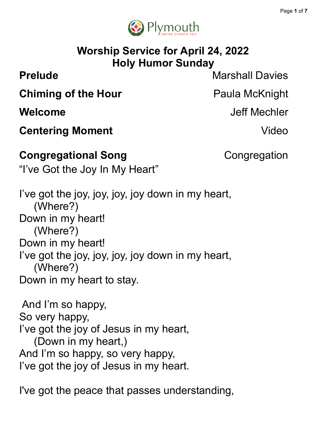

# **Worship Service for April 24, 2022 Holy Humor Sunday**

**Prelude** Marshall Davies

**Welcome** Jeff Mechler

**Chiming of the Hour** Paula McKnight

**Centering Moment Centering Moment** 

### **Congregational Song** Congregation

"I've Got the Joy In My Heart"

I've got the joy, joy, joy, joy down in my heart, (Where?) Down in my heart! (Where?) Down in my heart! I've got the joy, joy, joy, joy down in my heart, (Where?) Down in my heart to stay.

And I'm so happy, So very happy, I've got the joy of Jesus in my heart, (Down in my heart,) And I'm so happy, so very happy, I've got the joy of Jesus in my heart.

I've got the peace that passes understanding,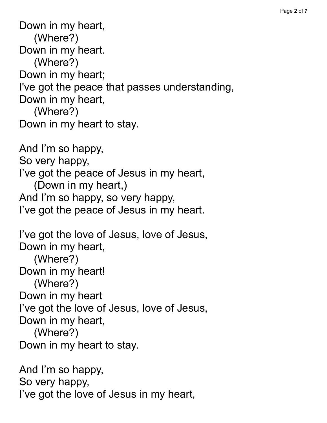Down in my heart, (Where?) Down in my heart. (Where?) Down in my heart; I've got the peace that passes understanding, Down in my heart, (Where?) Down in my heart to stay. And I'm so happy, So very happy, I've got the peace of Jesus in my heart, (Down in my heart,) And I'm so happy, so very happy, I've got the peace of Jesus in my heart. I've got the love of Jesus, love of Jesus, Down in my heart, (Where?) Down in my heart! (Where?) Down in my heart I've got the love of Jesus, love of Jesus, Down in my heart, (Where?) Down in my heart to stay. And I'm so happy,

So very happy,

I've got the love of Jesus in my heart,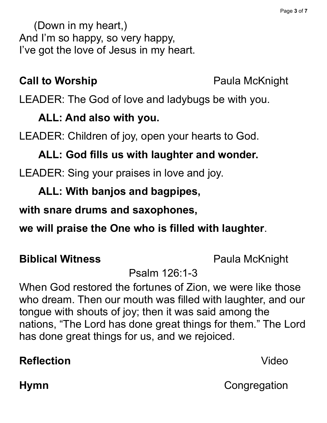(Down in my heart,) And I'm so happy, so very happy, I've got the love of Jesus in my heart.

### **Call to Worship Paula McKnight**

LEADER: The God of love and ladybugs be with you.

#### **ALL: And also with you.**

LEADER: Children of joy, open your hearts to God.

### **ALL: God fills us with laughter and wonder.**

LEADER: Sing your praises in love and joy.

### **ALL: With banjos and bagpipes,**

### **with snare drums and saxophones,**

**we will praise the One who is filled with laughter**.

#### **Biblical Witness** Paula McKnight

### Psalm 126:1-3

When God restored the fortunes of Zion, we were like those who dream. Then our mouth was filled with laughter, and our tongue with shouts of joy; then it was said among the nations, "The Lord has done great things for them." The Lord has done great things for us, and we rejoiced.

# **Reflection** Video

**Hymn** Congregation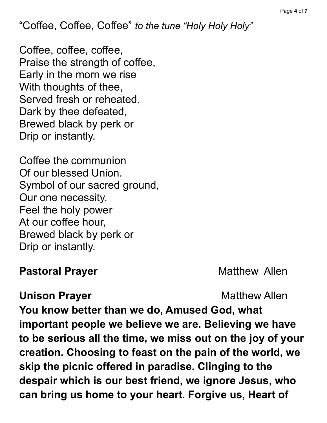"Coffee, Coffee, Coffee" *to the tune "Holy Holy Holy"*

Coffee, coffee, coffee, Praise the strength of coffee, Early in the morn we rise With thoughts of thee, Served fresh or reheated, Dark by thee defeated, Brewed black by perk or Drip or instantly.

Coffee the communion Of our blessed Union. Symbol of our sacred ground, Our one necessity. Feel the holy power At our coffee hour, Brewed black by perk or Drip or instantly.

### **Pastoral Prayer** Matthew Allen

### **Unison Prayer** Matthew Allen

**You know better than we do, Amused God, what important people we believe we are. Believing we have to be serious all the time, we miss out on the joy of your creation. Choosing to feast on the pain of the world, we skip the picnic offered in paradise. Clinging to the despair which is our best friend, we ignore Jesus, who can bring us home to your heart. Forgive us, Heart of**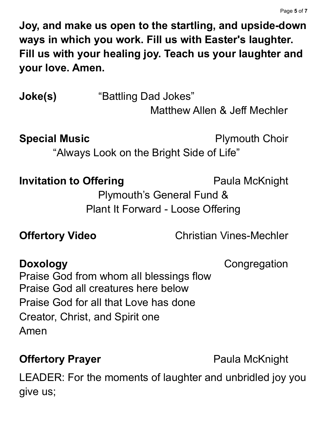**Joy, and make us open to the startling, and upside-down ways in which you work. Fill us with Easter's laughter. Fill us with your healing joy. Teach us your laughter and your love. Amen.**

**Joke(s)** "Battling Dad Jokes"

Matthew Allen & Jeff Mechler

**Special Music Plymouth Choir** 

"Always Look on the Bright Side of Life"

**Invitation to Offering Paula McKnight** 

Plymouth's General Fund & Plant It Forward - Loose Offering

**Offertory Video** Christian Vines-Mechler

**Doxology** Congregation Praise God from whom all blessings flow Praise God all creatures here below Praise God for all that Love has done Creator, Christ, and Spirit one Amen

# **Offertory Prayer Paula McKnight**

LEADER: For the moments of laughter and unbridled joy you give us;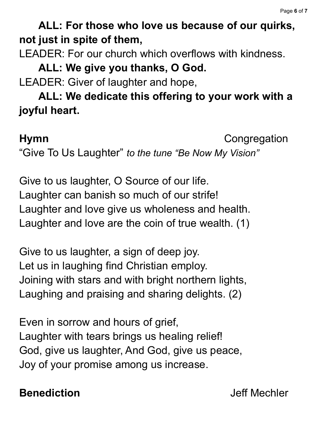# **ALL: For those who love us because of our quirks, not just in spite of them,**

LEADER: For our church which overflows with kindness.

# **ALL: We give you thanks, O God.**

LEADER: Giver of laughter and hope,

**ALL: We dedicate this offering to your work with a joyful heart.**

**Hymn** Congregation

"Give To Us Laughter" *to the tune "Be Now My Vision"*

Give to us laughter, O Source of our life. Laughter can banish so much of our strife! Laughter and love give us wholeness and health. Laughter and love are the coin of true wealth. (1)

Give to us laughter, a sign of deep joy. Let us in laughing find Christian employ. Joining with stars and with bright northern lights, Laughing and praising and sharing delights. (2)

Even in sorrow and hours of grief, Laughter with tears brings us healing relief! God, give us laughter, And God, give us peace, Joy of your promise among us increase.

# **Benediction** Jeff Mechler